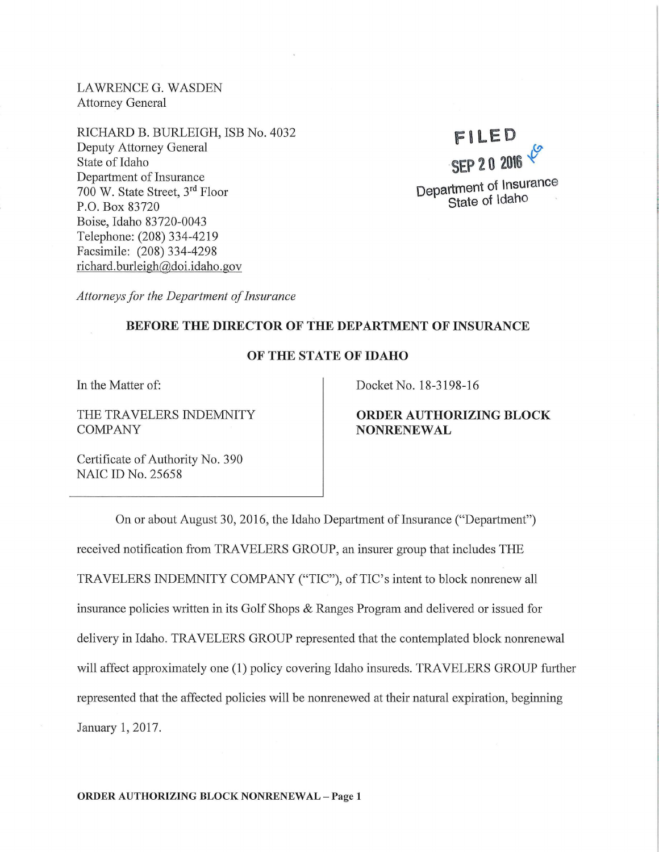LAWRENCE G. WASDEN Attorney General

RICHARD B. BURLEIGH, ISB No. 4032 Deputy Attorney General State of Idaho Department of Insurance 700 W. State Street, 3rd Floor P.O. Box 83720 Boise, Idaho 83720-0043 Telephone: (208) 334-4219 Facsimile: (208) 334-4298 richard. burleigh@doi.idaho.gov

# **FILED**   $\bm{\sigma}$ **SEP 2 0 20\6** {) **Department of Insurance State of Idaho**

*Attorneys for the Department of Insurance* 

## **BEFORE THE DIRECTOR OF THE DEPARTMENT OF INSURANCE**

## **OF THE STATE OF IDAHO**

In the Matter of:

THE TRAVELERS INDEMNITY COMPANY

Docket No. 18-3198-16

# **ORDER AUTHORIZING BLOCK NONRENEWAL**

Certificate of Authority No. 390 NAIC ID No. 25658

On or about August 30, 2016, the Idaho Department of Insurance ("Department") received notification from TRAVELERS GROUP, an insurer group that includes THE TRAVELERS INDEMNITY COMPANY ("TIC"), of TIC's intent to block nonrenew all insurance policies written in its Golf Shops & Ranges Program and delivered or issued for delivery in Idaho. TRAVELERS GROUP represented that the contemplated block nonrenewal will affect approximately one (1) policy covering Idaho insureds. TRAVELERS GROUP further represented that the affected policies will be nonrenewed at their natural expiration, beginning January 1, 2017.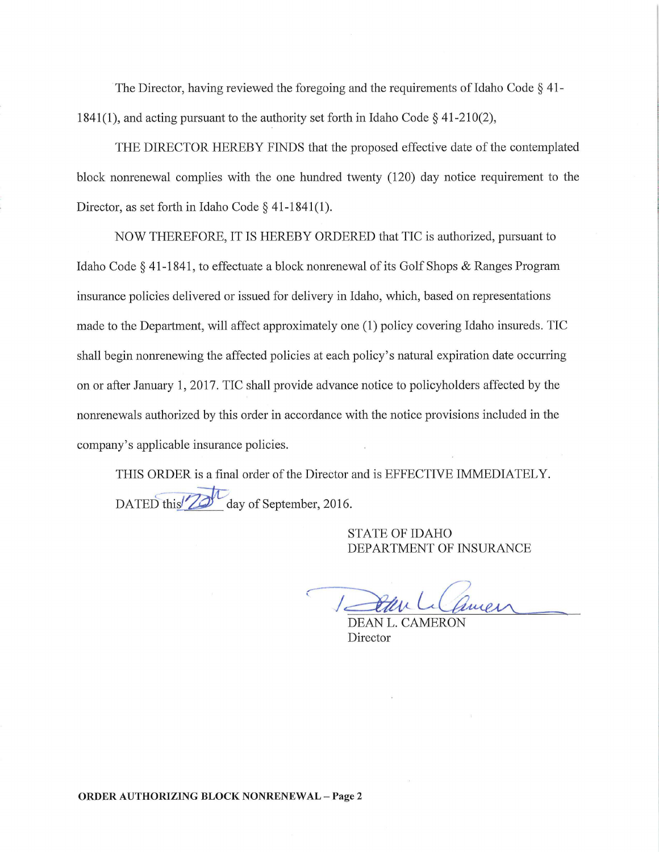The Director, having reviewed the foregoing and the requirements of Idaho Code § 41- 1841(1), and acting pursuant to the authority set forth in Idaho Code§ 41-210(2),

THE DIRECTOR HEREBY FINDS that the proposed effective date of the contemplated block nonrenewal complies with the one hundred twenty (120) day notice requirement to the Director, as set forth in Idaho Code § 41-1841(1).

NOW THEREFORE, IT IS HEREBY ORDERED that TIC is authorized, pursuant to Idaho Code § 41-1841, to effectuate a block nonrenewal of its Golf Shops & Ranges Program insurance policies delivered or issued for delivery in Idaho, which, based on representations made to the Department, will affect approximately one (1) policy covering Idaho insureds. TIC shall begin nonrenewing the affected policies at each policy's natural expiration date occurring on or after January 1, 2017. TIC shall provide advance notice to policyholders affected by the nonrenewals authorized by this order in accordance with the notice provisions included in the company's applicable insurance policies.

THIS ORDER is a final order of the Director and is EFFECTIVE IMMEDIATELY. DATED this <sup>7</sup>2<sup>*d*</sup> day of September, 2016.

> STATE OF IDAHO DEPARTMENT OF INSURANCE

1 Star Li Camer

DEAN L. CAMERON Director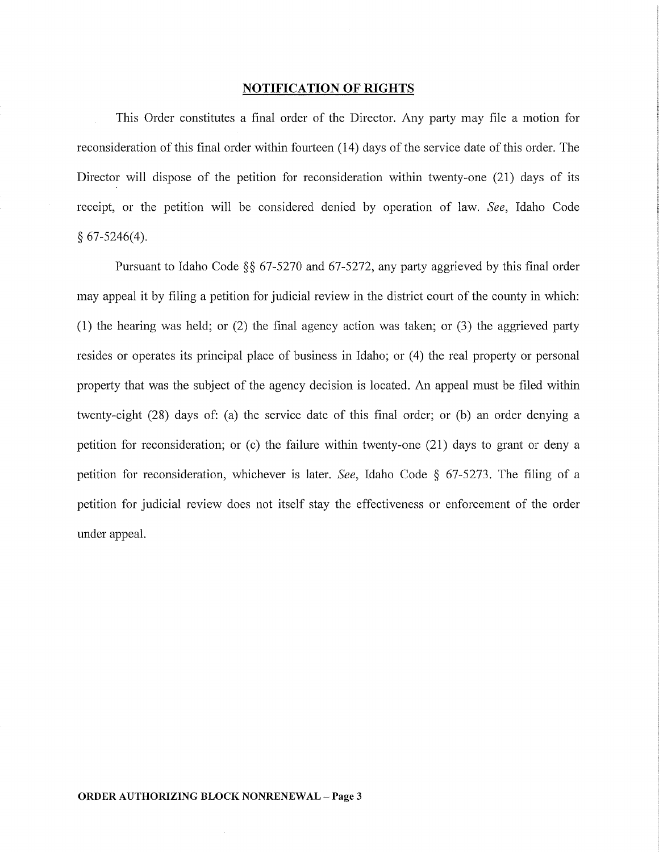#### **NOTIFICATION OF RIGHTS**

This Order constitutes a final order of the Director. Any party may file a motion for reconsideration of this final order within fourteen (14) days of the service date of this order. The Director will dispose of the petition for reconsideration within twenty-one (21) days of its receipt, or the petition will be considered denied by operation of law. *See,* Idaho Code  $§ 67-5246(4).$ 

Pursuant to Idaho Code §§ 67-5270 and 67-5272, any party aggrieved by this final order may appeal it by filing a petition for judicial review in the district court of the county in which: (1) the hearing was held; or (2) the final agency action was taken; or (3) the aggrieved party resides or operates its principal place of business in Idaho; or (4) the real property or personal property that was the subject of the agency decision is located. An appeal must be filed within twenty-eight (28) days of: (a) the service date of this final order; or (b) an order denying a petition for reconsideration; or  $(c)$  the failure within twenty-one  $(21)$  days to grant or deny a petition for reconsideration, whichever is later. *See,* Idaho Code § 67-5273. The filing of a petition for judicial review does not itself stay the effectiveness or enforcement of the order under appeal.